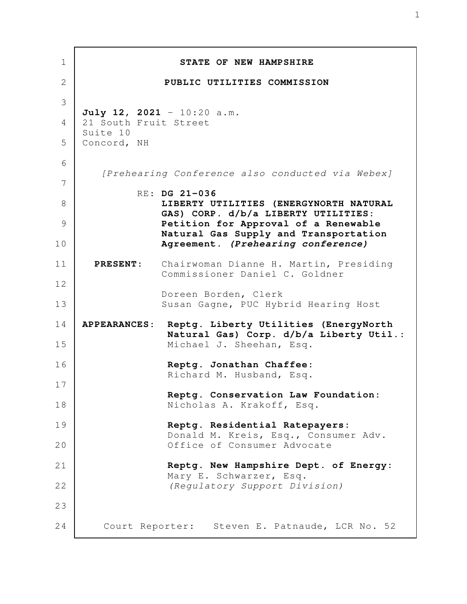| 1              |                                                  | STATE OF NEW HAMPSHIRE                                                           |
|----------------|--------------------------------------------------|----------------------------------------------------------------------------------|
| $\overline{2}$ |                                                  | PUBLIC UTILITIES COMMISSION                                                      |
| 3              |                                                  |                                                                                  |
| 4              | 21 South Fruit Street                            | July 12, 2021 - $10:20$ a.m.                                                     |
| 5              | Suite 10<br>Concord, NH                          |                                                                                  |
| 6              | [Prehearing Conference also conducted via Webex] |                                                                                  |
| 7              |                                                  | RE: DG 21-036                                                                    |
| 8              |                                                  | LIBERTY UTILITIES (ENERGYNORTH NATURAL<br>GAS) CORP. d/b/a LIBERTY UTILITIES:    |
| 9              |                                                  | Petition for Approval of a Renewable<br>Natural Gas Supply and Transportation    |
| 10             |                                                  | Agreement. (Prehearing conference)                                               |
| 11             | <b>PRESENT:</b>                                  | Chairwoman Dianne H. Martin, Presiding<br>Commissioner Daniel C. Goldner         |
| 12<br>13       |                                                  | Doreen Borden, Clerk<br>Susan Gagne, PUC Hybrid Hearing Host                     |
| 14             | <b>APPEARANCES:</b>                              | Reptg. Liberty Utilities (EnergyNorth<br>Natural Gas) Corp. d/b/a Liberty Util.: |
| 15             |                                                  | Michael J. Sheehan, Esq.                                                         |
| 16             |                                                  | Reptg. Jonathan Chaffee:<br>Richard M. Husband, Esq.                             |
| 17             |                                                  |                                                                                  |
| 18             |                                                  | Reptg. Conservation Law Foundation:<br>Nicholas A. Krakoff, Esq.                 |
| 19             |                                                  | Reptg. Residential Ratepayers:                                                   |
| 20             |                                                  | Donald M. Kreis, Esq., Consumer Adv.<br>Office of Consumer Advocate              |
| 21             |                                                  | Reptg. New Hampshire Dept. of Energy:                                            |
| 22             |                                                  | Mary E. Schwarzer, Esq.<br>(Regulatory Support Division)                         |
| 23             |                                                  |                                                                                  |
| 24             |                                                  | Court Reporter: Steven E. Patnaude, LCR No. 52                                   |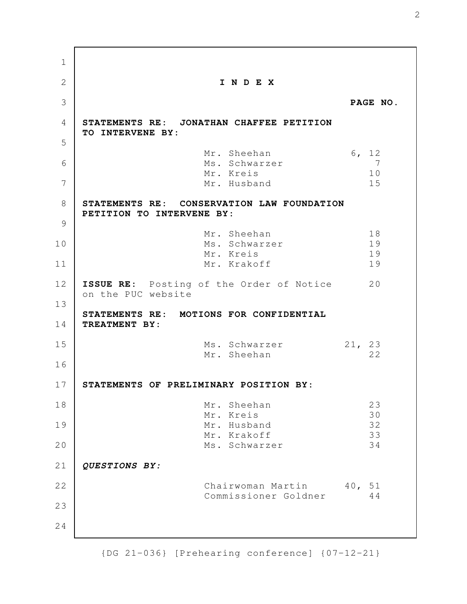**I N D E X PAGE NO. STATEMENTS RE: JONATHAN CHAFFEE PETITION TO INTERVENE BY:** Mr. Sheehan 6, 12 Ms. Schwarzer 7 Mr. Kreis 10 Mr. Husband 15 **STATEMENTS RE: CONSERVATION LAW FOUNDATION PETITION TO INTERVENE BY:** Mr. Sheehan 18 Ms. Schwarzer 19 Mr. Kreis 19 Mr. Krakoff 19 **ISSUE RE:** Posting of the Order of Notice 20 on the PUC website **STATEMENTS RE: MOTIONS FOR CONFIDENTIAL TREATMENT BY:**  Ms. Schwarzer 21, 23 Mr. Sheehan 22 **STATEMENTS OF PRELIMINARY POSITION BY:** Mr. Sheehan 23 Mr. Kreis 30 Mr. Husband 32 Mr. Krakoff 33 Ms. Schwarzer 34 *QUESTIONS BY:* Chairwoman Martin 40, 51 Commissioner Goldner 44 1 2 3 4 5 6 7 8 9 10 11 12 13 14 15 16 17 18 19 20 21 22 23 24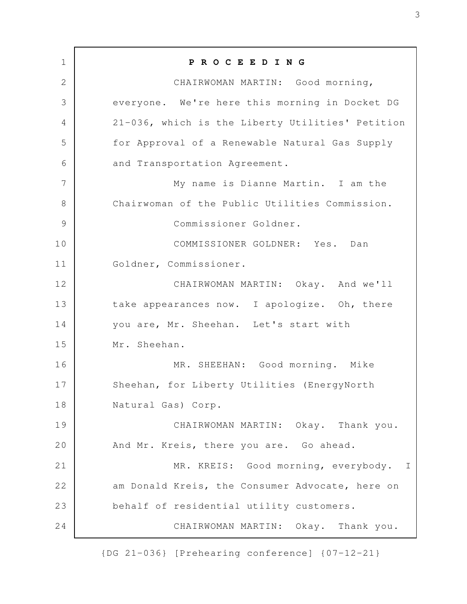**P R O C E E D I N G** CHAIRWOMAN MARTIN: Good morning, everyone. We're here this morning in Docket DG 21-036, which is the Liberty Utilities' Petition for Approval of a Renewable Natural Gas Supply and Transportation Agreement. My name is Dianne Martin. I am the Chairwoman of the Public Utilities Commission. Commissioner Goldner. COMMISSIONER GOLDNER: Yes. Dan Goldner, Commissioner. CHAIRWOMAN MARTIN: Okay. And we'll take appearances now. I apologize. Oh, there you are, Mr. Sheehan. Let's start with Mr. Sheehan. MR. SHEEHAN: Good morning. Mike Sheehan, for Liberty Utilities (EnergyNorth Natural Gas) Corp. CHAIRWOMAN MARTIN: Okay. Thank you. And Mr. Kreis, there you are. Go ahead. MR. KREIS: Good morning, everybody. I am Donald Kreis, the Consumer Advocate, here on behalf of residential utility customers. CHAIRWOMAN MARTIN: Okay. Thank you. 1 2 3 4 5 6 7 8 9 10 11 12 13 14 15 16 17 18 19 20 21 22 23 24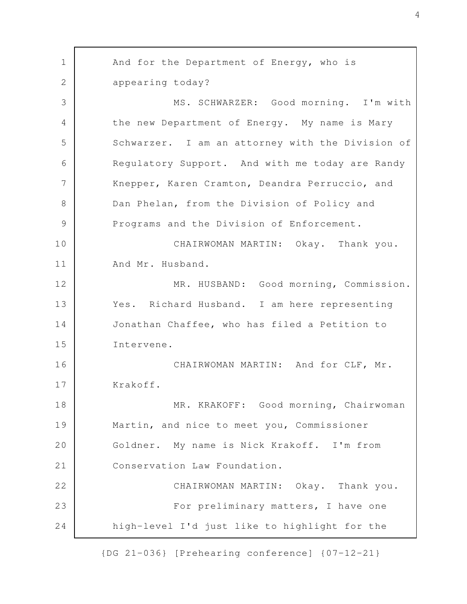And for the Department of Energy, who is appearing today? MS. SCHWARZER: Good morning. I'm with the new Department of Energy. My name is Mary Schwarzer. I am an attorney with the Division of Regulatory Support. And with me today are Randy Knepper, Karen Cramton, Deandra Perruccio, and Dan Phelan, from the Division of Policy and Programs and the Division of Enforcement. CHAIRWOMAN MARTIN: Okay. Thank you. And Mr. Husband. MR. HUSBAND: Good morning, Commission. Yes. Richard Husband. I am here representing Jonathan Chaffee, who has filed a Petition to Intervene. CHAIRWOMAN MARTIN: And for CLF, Mr. Krakoff. MR. KRAKOFF: Good morning, Chairwoman Martin, and nice to meet you, Commissioner Goldner. My name is Nick Krakoff. I'm from Conservation Law Foundation. CHAIRWOMAN MARTIN: Okay. Thank you. For preliminary matters, I have one high-level I'd just like to highlight for the 1 2 3 4 5 6 7 8 9 10 11 12 13 14 15 16 17 18 19 20 21 22 23 24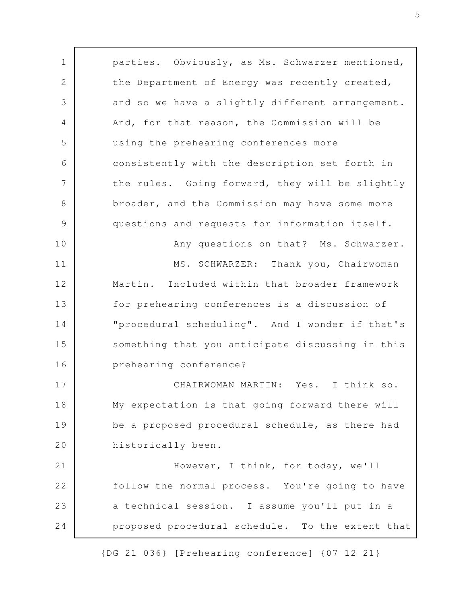parties. Obviously, as Ms. Schwarzer mentioned, the Department of Energy was recently created, and so we have a slightly different arrangement. And, for that reason, the Commission will be using the prehearing conferences more consistently with the description set forth in the rules. Going forward, they will be slightly broader, and the Commission may have some more questions and requests for information itself. Any questions on that? Ms. Schwarzer. MS. SCHWARZER: Thank you, Chairwoman Martin. Included within that broader framework for prehearing conferences is a discussion of "procedural scheduling". And I wonder if that's something that you anticipate discussing in this prehearing conference? CHAIRWOMAN MARTIN: Yes. I think so. My expectation is that going forward there will be a proposed procedural schedule, as there had historically been. However, I think, for today, we'll follow the normal process. You're going to have a technical session. I assume you'll put in a proposed procedural schedule. To the extent that 1 2 3 4 5 6 7 8 9 10 11 12 13 14 15 16 17 18 19 20 21 22 23 24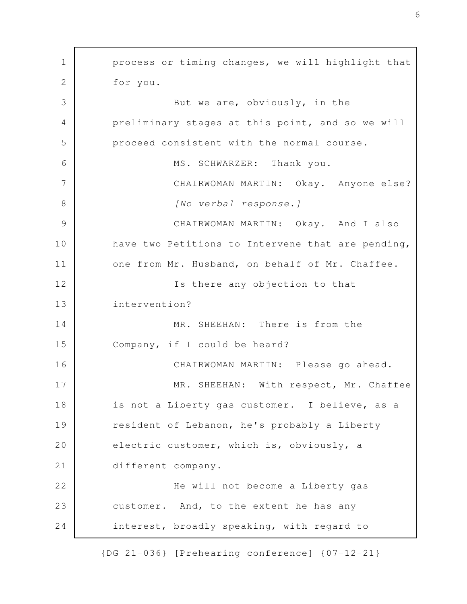process or timing changes, we will highlight that for you. But we are, obviously, in the preliminary stages at this point, and so we will proceed consistent with the normal course. MS. SCHWARZER: Thank you. CHAIRWOMAN MARTIN: Okay. Anyone else? *[No verbal response.]* CHAIRWOMAN MARTIN: Okay. And I also have two Petitions to Intervene that are pending, one from Mr. Husband, on behalf of Mr. Chaffee. Is there any objection to that intervention? MR. SHEEHAN: There is from the Company, if I could be heard? CHAIRWOMAN MARTIN: Please go ahead. MR. SHEEHAN: With respect, Mr. Chaffee is not a Liberty gas customer. I believe, as a resident of Lebanon, he's probably a Liberty electric customer, which is, obviously, a different company. He will not become a Liberty gas customer. And, to the extent he has any interest, broadly speaking, with regard to 1 2 3 4 5 6 7 8 9 10 11 12 13 14 15 16 17 18 19 20 21 22 23 24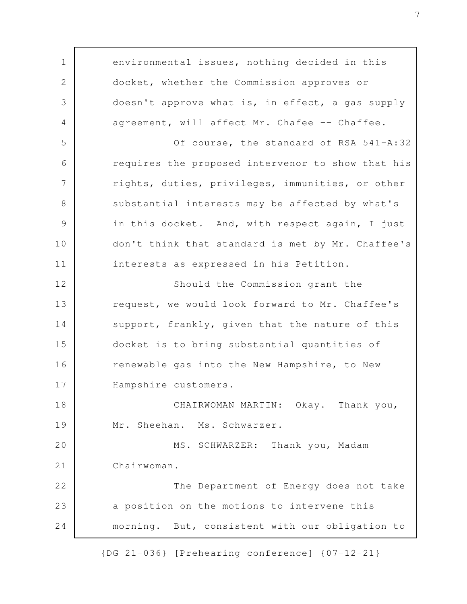environmental issues, nothing decided in this docket, whether the Commission approves or doesn't approve what is, in effect, a gas supply agreement, will affect Mr. Chafee -- Chaffee. Of course, the standard of RSA 541-A:32 requires the proposed intervenor to show that his rights, duties, privileges, immunities, or other substantial interests may be affected by what's in this docket. And, with respect again, I just don't think that standard is met by Mr. Chaffee's interests as expressed in his Petition. Should the Commission grant the request, we would look forward to Mr. Chaffee's support, frankly, given that the nature of this docket is to bring substantial quantities of renewable gas into the New Hampshire, to New Hampshire customers. CHAIRWOMAN MARTIN: Okay. Thank you, Mr. Sheehan. Ms. Schwarzer. MS. SCHWARZER: Thank you, Madam Chairwoman. The Department of Energy does not take a position on the motions to intervene this morning. But, consistent with our obligation to 1 2 3 4 5 6 7 8 9 10 11 12 13 14 15 16 17 18 19 20 21 22 23 24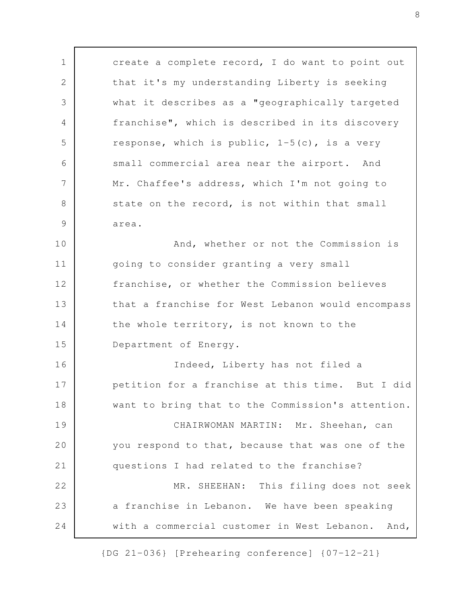create a complete record, I do want to point out that it's my understanding Liberty is seeking what it describes as a "geographically targeted franchise", which is described in its discovery response, which is public,  $1-5(c)$ , is a very small commercial area near the airport. And Mr. Chaffee's address, which I'm not going to state on the record, is not within that small area. And, whether or not the Commission is going to consider granting a very small franchise, or whether the Commission believes that a franchise for West Lebanon would encompass the whole territory, is not known to the Department of Energy. Indeed, Liberty has not filed a petition for a franchise at this time. But I did want to bring that to the Commission's attention. CHAIRWOMAN MARTIN: Mr. Sheehan, can you respond to that, because that was one of the questions I had related to the franchise? MR. SHEEHAN: This filing does not seek a franchise in Lebanon. We have been speaking with a commercial customer in West Lebanon. And, 1 2 3 4 5 6 7 8 9 10 11 12 13 14 15 16 17 18 19 20 21 22 23 24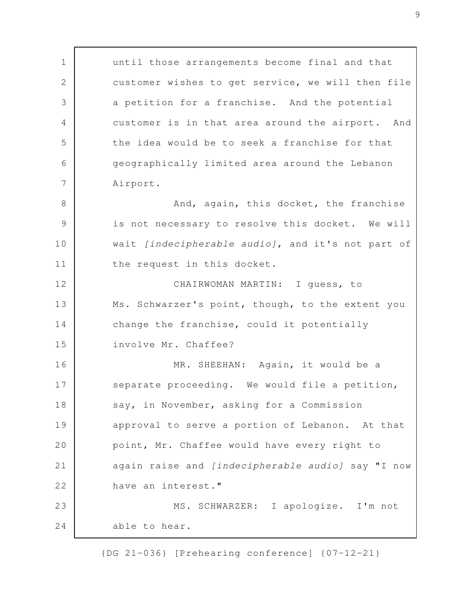until those arrangements become final and that customer wishes to get service, we will then file a petition for a franchise. And the potential customer is in that area around the airport. And the idea would be to seek a franchise for that geographically limited area around the Lebanon Airport. And, again, this docket, the franchise is not necessary to resolve this docket. We will wait *[indecipherable audio]*, and it's not part of the request in this docket. CHAIRWOMAN MARTIN: I guess, to Ms. Schwarzer's point, though, to the extent you change the franchise, could it potentially involve Mr. Chaffee? MR. SHEEHAN: Again, it would be a separate proceeding. We would file a petition, say, in November, asking for a Commission approval to serve a portion of Lebanon. At that point, Mr. Chaffee would have every right to again raise and *[indecipherable audio]* say "I now have an interest." MS. SCHWARZER: I apologize. I'm not able to hear. 1 2 3 4 5 6 7 8 9 10 11 12 13 14 15 16 17 18 19 20 21 22 23 24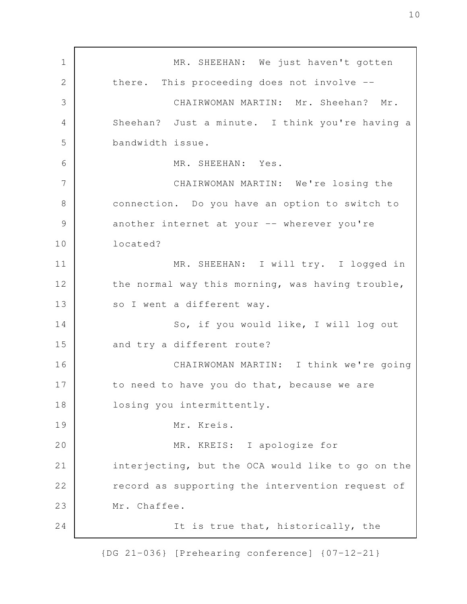MR. SHEEHAN: We just haven't gotten there. This proceeding does not involve -- CHAIRWOMAN MARTIN: Mr. Sheehan? Mr. Sheehan? Just a minute. I think you're having a bandwidth issue. MR. SHEEHAN: Yes. CHAIRWOMAN MARTIN: We're losing the connection. Do you have an option to switch to another internet at your -- wherever you're located? MR. SHEEHAN: I will try. I logged in the normal way this morning, was having trouble, so I went a different way. So, if you would like, I will log out and try a different route? CHAIRWOMAN MARTIN: I think we're going to need to have you do that, because we are losing you intermittently. Mr. Kreis. MR. KREIS: I apologize for interjecting, but the OCA would like to go on the record as supporting the intervention request of Mr. Chaffee. It is true that, historically, the 1 2 3 4 5 6 7 8 9 10 11 12 13 14 15 16 17 18 19 20 21 22 23 24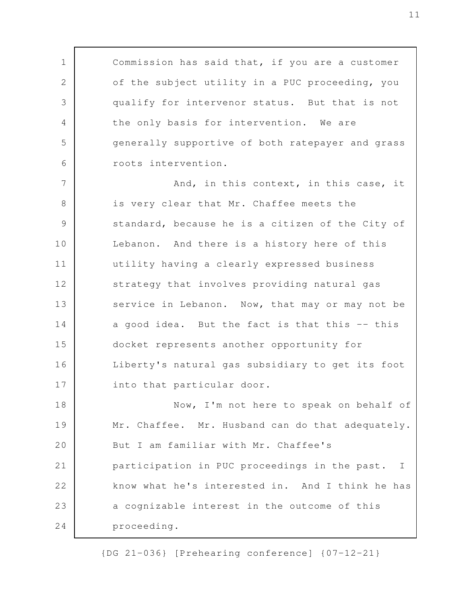Commission has said that, if you are a customer of the subject utility in a PUC proceeding, you qualify for intervenor status. But that is not the only basis for intervention. We are generally supportive of both ratepayer and grass roots intervention. And, in this context, in this case, it is very clear that Mr. Chaffee meets the standard, because he is a citizen of the City of Lebanon. And there is a history here of this utility having a clearly expressed business strategy that involves providing natural gas service in Lebanon. Now, that may or may not be a good idea. But the fact is that this -- this docket represents another opportunity for Liberty's natural gas subsidiary to get its foot into that particular door. Now, I'm not here to speak on behalf of Mr. Chaffee. Mr. Husband can do that adequately. But I am familiar with Mr. Chaffee's participation in PUC proceedings in the past. I know what he's interested in. And I think he has a cognizable interest in the outcome of this proceeding. 1 2 3 4 5 6 7 8 9 10 11 12 13 14 15 16 17 18 19 20 21 22 23 24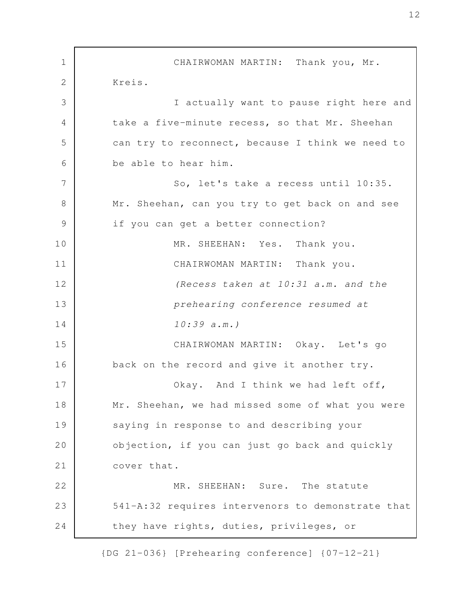CHAIRWOMAN MARTIN: Thank you, Mr. Kreis. I actually want to pause right here and take a five-minute recess, so that Mr. Sheehan can try to reconnect, because I think we need to be able to hear him. So, let's take a recess until 10:35. Mr. Sheehan, can you try to get back on and see if you can get a better connection? MR. SHEEHAN: Yes. Thank you. CHAIRWOMAN MARTIN: Thank you. *(Recess taken at 10:31 a.m. and the prehearing conference resumed at 10:39 a.m.)* CHAIRWOMAN MARTIN: Okay. Let's go back on the record and give it another try. Okay. And I think we had left off, Mr. Sheehan, we had missed some of what you were saying in response to and describing your objection, if you can just go back and quickly cover that. MR. SHEEHAN: Sure. The statute 541-A:32 requires intervenors to demonstrate that they have rights, duties, privileges, or 1 2 3 4 5 6 7 8 9 10 11 12 13 14 15 16 17 18 19 20 21 22 23 24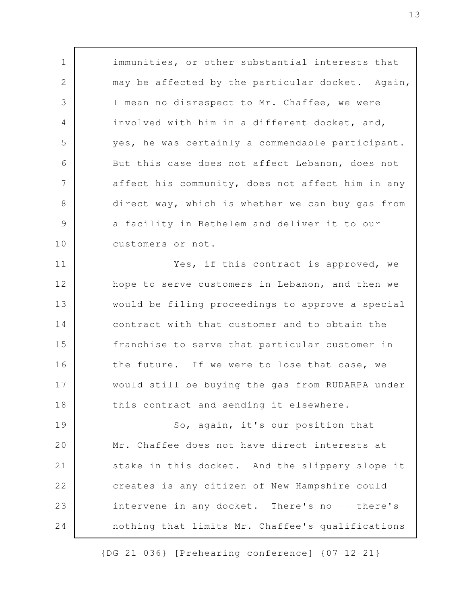immunities, or other substantial interests that may be affected by the particular docket. Again, I mean no disrespect to Mr. Chaffee, we were involved with him in a different docket, and, yes, he was certainly a commendable participant. But this case does not affect Lebanon, does not affect his community, does not affect him in any direct way, which is whether we can buy gas from a facility in Bethelem and deliver it to our customers or not.

1

2

3

4

5

6

7

8

9

10

Yes, if this contract is approved, we hope to serve customers in Lebanon, and then we would be filing proceedings to approve a special contract with that customer and to obtain the franchise to serve that particular customer in the future. If we were to lose that case, we would still be buying the gas from RUDARPA under this contract and sending it elsewhere. 11 12 13 14 15 16 17 18

So, again, it's our position that Mr. Chaffee does not have direct interests at stake in this docket. And the slippery slope it creates is any citizen of New Hampshire could intervene in any docket. There's no -- there's nothing that limits Mr. Chaffee's qualifications 19 20 21 22 23 24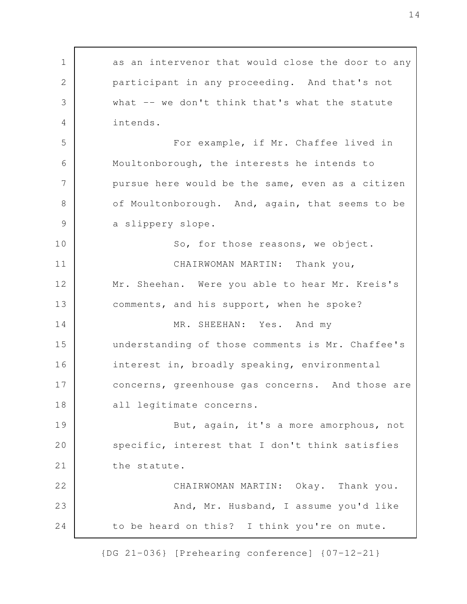as an intervenor that would close the door to any participant in any proceeding. And that's not what -- we don't think that's what the statute intends. For example, if Mr. Chaffee lived in Moultonborough, the interests he intends to pursue here would be the same, even as a citizen of Moultonborough. And, again, that seems to be a slippery slope. So, for those reasons, we object. CHAIRWOMAN MARTIN: Thank you, Mr. Sheehan. Were you able to hear Mr. Kreis's comments, and his support, when he spoke? MR. SHEEHAN: Yes. And my understanding of those comments is Mr. Chaffee's interest in, broadly speaking, environmental concerns, greenhouse gas concerns. And those are all legitimate concerns. But, again, it's a more amorphous, not specific, interest that I don't think satisfies the statute. CHAIRWOMAN MARTIN: Okay. Thank you. And, Mr. Husband, I assume you'd like to be heard on this? I think you're on mute. 1 2 3 4 5 6 7 8 9 10 11 12 13 14 15 16 17 18 19 20 21 22 23 24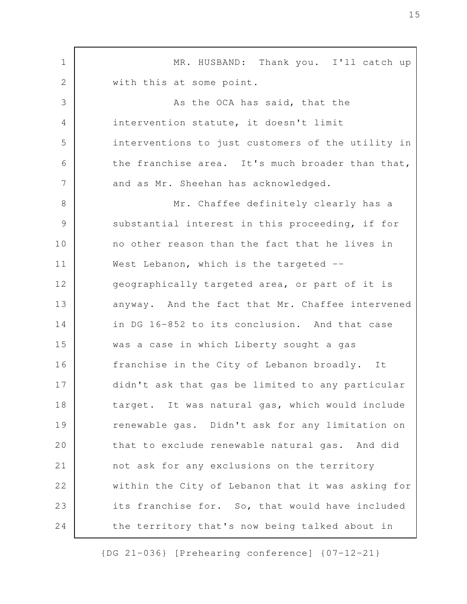MR. HUSBAND: Thank you. I'll catch up with this at some point. As the OCA has said, that the intervention statute, it doesn't limit interventions to just customers of the utility in the franchise area. It's much broader than that, and as Mr. Sheehan has acknowledged. Mr. Chaffee definitely clearly has a substantial interest in this proceeding, if for no other reason than the fact that he lives in West Lebanon, which is the targeted -geographically targeted area, or part of it is anyway. And the fact that Mr. Chaffee intervened in DG 16-852 to its conclusion. And that case was a case in which Liberty sought a gas franchise in the City of Lebanon broadly. It didn't ask that gas be limited to any particular target. It was natural gas, which would include renewable gas. Didn't ask for any limitation on that to exclude renewable natural gas. And did not ask for any exclusions on the territory within the City of Lebanon that it was asking for its franchise for. So, that would have included the territory that's now being talked about in 1 2 3 4 5 6 7 8 9 10 11 12 13 14 15 16 17 18 19 20 21 22 23 24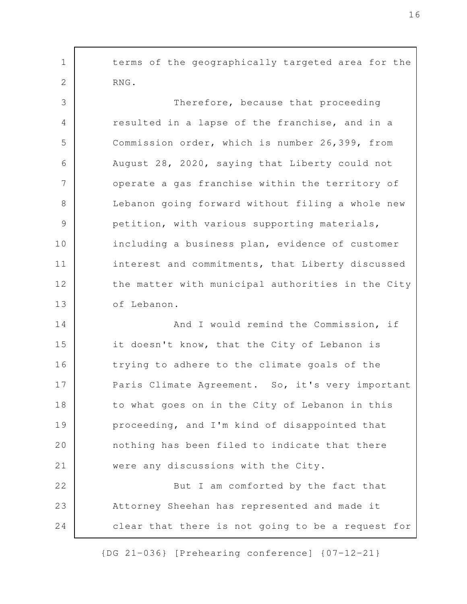terms of the geographically targeted area for the RNG. Therefore, because that proceeding resulted in a lapse of the franchise, and in a Commission order, which is number 26,399, from August 28, 2020, saying that Liberty could not operate a gas franchise within the territory of Lebanon going forward without filing a whole new petition, with various supporting materials, including a business plan, evidence of customer interest and commitments, that Liberty discussed the matter with municipal authorities in the City of Lebanon. And I would remind the Commission, if it doesn't know, that the City of Lebanon is trying to adhere to the climate goals of the Paris Climate Agreement. So, it's very important to what goes on in the City of Lebanon in this proceeding, and I'm kind of disappointed that nothing has been filed to indicate that there were any discussions with the City. But I am comforted by the fact that Attorney Sheehan has represented and made it clear that there is not going to be a request for 1 2 3 4 5 6 7 8 9 10 11 12 13 14 15 16 17 18 19 20 21 22 23 24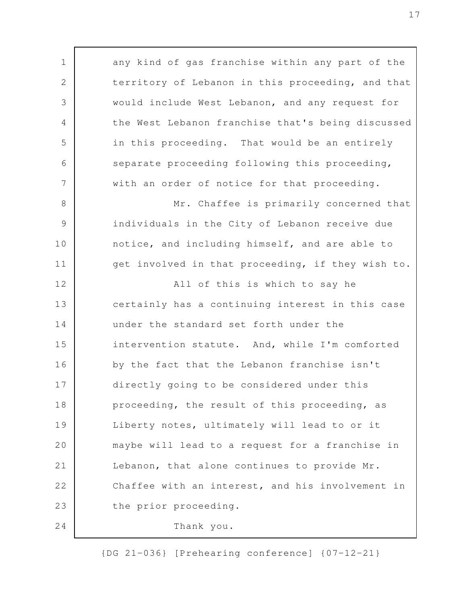any kind of gas franchise within any part of the territory of Lebanon in this proceeding, and that would include West Lebanon, and any request for the West Lebanon franchise that's being discussed in this proceeding. That would be an entirely separate proceeding following this proceeding, with an order of notice for that proceeding. Mr. Chaffee is primarily concerned that individuals in the City of Lebanon receive due notice, and including himself, and are able to get involved in that proceeding, if they wish to. All of this is which to say he certainly has a continuing interest in this case under the standard set forth under the intervention statute. And, while I'm comforted by the fact that the Lebanon franchise isn't directly going to be considered under this proceeding, the result of this proceeding, as Liberty notes, ultimately will lead to or it maybe will lead to a request for a franchise in Lebanon, that alone continues to provide Mr. Chaffee with an interest, and his involvement in the prior proceeding. Thank you. 1 2 3 4 5 6 7 8 9 10 11 12 13 14 15 16 17 18 19 20 21 22 23 24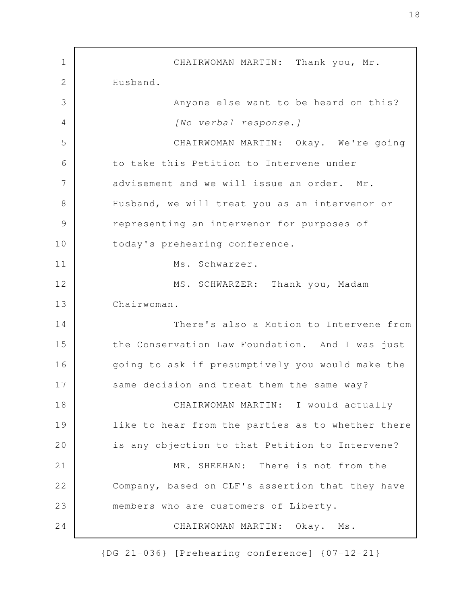CHAIRWOMAN MARTIN: Thank you, Mr. Husband. Anyone else want to be heard on this? *[No verbal response.]* CHAIRWOMAN MARTIN: Okay. We're going to take this Petition to Intervene under advisement and we will issue an order. Mr. Husband, we will treat you as an intervenor or representing an intervenor for purposes of today's prehearing conference. Ms. Schwarzer. MS. SCHWARZER: Thank you, Madam Chairwoman. There's also a Motion to Intervene from the Conservation Law Foundation. And I was just going to ask if presumptively you would make the same decision and treat them the same way? CHAIRWOMAN MARTIN: I would actually like to hear from the parties as to whether there is any objection to that Petition to Intervene? MR. SHEEHAN: There is not from the Company, based on CLF's assertion that they have members who are customers of Liberty. CHAIRWOMAN MARTIN: Okay. Ms. 1 2 3 4 5 6 7 8 9 10 11 12 13 14 15 16 17 18 19 20 21 22 23 24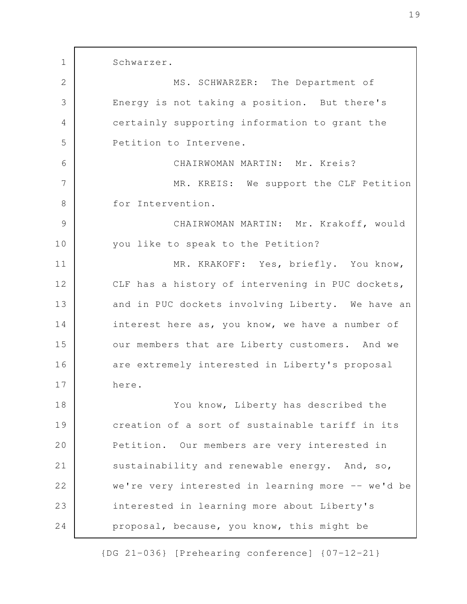Schwarzer. MS. SCHWARZER: The Department of Energy is not taking a position. But there's certainly supporting information to grant the Petition to Intervene. CHAIRWOMAN MARTIN: Mr. Kreis? MR. KREIS: We support the CLF Petition for Intervention. CHAIRWOMAN MARTIN: Mr. Krakoff, would you like to speak to the Petition? MR. KRAKOFF: Yes, briefly. You know, CLF has a history of intervening in PUC dockets, and in PUC dockets involving Liberty. We have an interest here as, you know, we have a number of our members that are Liberty customers. And we are extremely interested in Liberty's proposal here. You know, Liberty has described the creation of a sort of sustainable tariff in its Petition. Our members are very interested in sustainability and renewable energy. And, so, we're very interested in learning more -- we'd be interested in learning more about Liberty's proposal, because, you know, this might be 1 2 3 4 5 6 7 8 9 10 11 12 13 14 15 16 17 18 19 20 21 22 23 24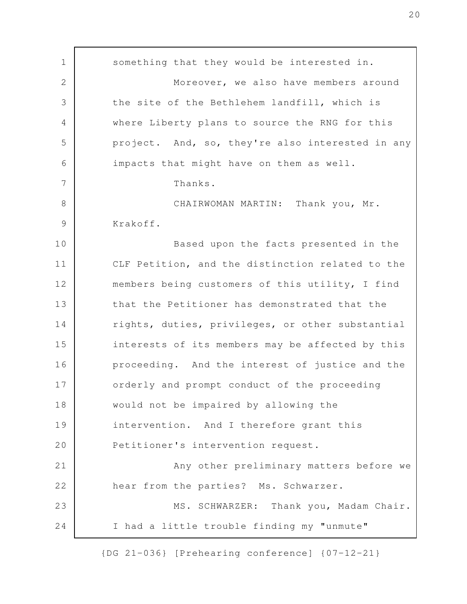something that they would be interested in. Moreover, we also have members around the site of the Bethlehem landfill, which is where Liberty plans to source the RNG for this project. And, so, they're also interested in any impacts that might have on them as well. Thanks. CHAIRWOMAN MARTIN: Thank you, Mr. Krakoff. Based upon the facts presented in the CLF Petition, and the distinction related to the members being customers of this utility, I find that the Petitioner has demonstrated that the rights, duties, privileges, or other substantial interests of its members may be affected by this proceeding. And the interest of justice and the orderly and prompt conduct of the proceeding would not be impaired by allowing the intervention. And I therefore grant this Petitioner's intervention request. Any other preliminary matters before we hear from the parties? Ms. Schwarzer. MS. SCHWARZER: Thank you, Madam Chair. I had a little trouble finding my "unmute" 1 2 3 4 5 6 7 8 9 10 11 12 13 14 15 16 17 18 19 20 21 22 23 24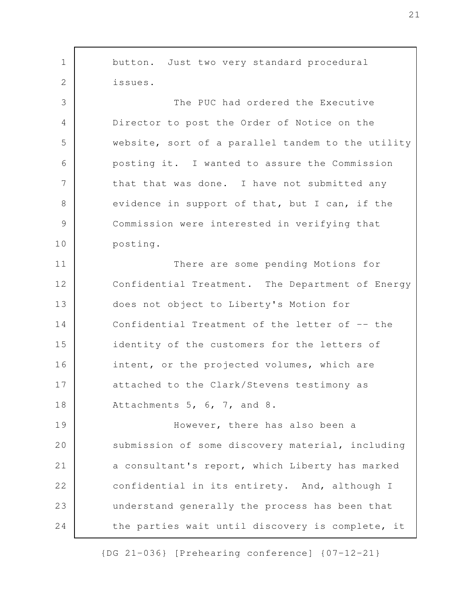button. Just two very standard procedural issues. The PUC had ordered the Executive Director to post the Order of Notice on the website, sort of a parallel tandem to the utility posting it. I wanted to assure the Commission that that was done. I have not submitted any evidence in support of that, but I can, if the Commission were interested in verifying that posting. There are some pending Motions for Confidential Treatment. The Department of Energy does not object to Liberty's Motion for Confidential Treatment of the letter of -- the identity of the customers for the letters of intent, or the projected volumes, which are attached to the Clark/Stevens testimony as Attachments 5, 6, 7, and 8. However, there has also been a submission of some discovery material, including a consultant's report, which Liberty has marked confidential in its entirety. And, although I understand generally the process has been that the parties wait until discovery is complete, it 1 2 3 4 5 6 7 8 9 10 11 12 13 14 15 16 17 18 19 20 21 22 23 24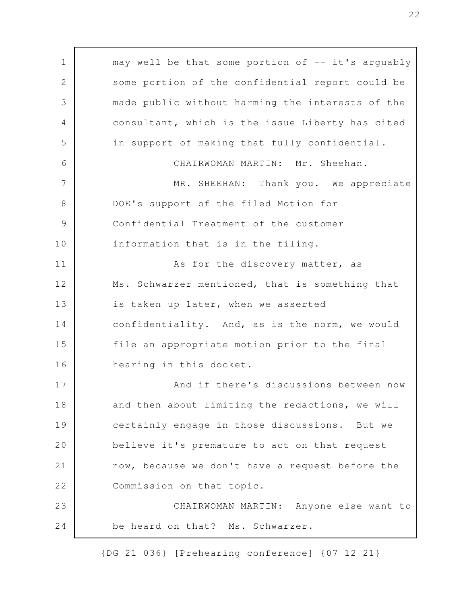may well be that some portion of  $--$  it's arguably some portion of the confidential report could be made public without harming the interests of the consultant, which is the issue Liberty has cited in support of making that fully confidential. CHAIRWOMAN MARTIN: Mr. Sheehan. MR. SHEEHAN: Thank you. We appreciate DOE's support of the filed Motion for Confidential Treatment of the customer information that is in the filing. As for the discovery matter, as Ms. Schwarzer mentioned, that is something that is taken up later, when we asserted confidentiality. And, as is the norm, we would file an appropriate motion prior to the final hearing in this docket. And if there's discussions between now and then about limiting the redactions, we will certainly engage in those discussions. But we believe it's premature to act on that request now, because we don't have a request before the Commission on that topic. CHAIRWOMAN MARTIN: Anyone else want to be heard on that? Ms. Schwarzer. 1 2 3 4 5 6 7 8 9 10 11 12 13 14 15 16 17 18 19 20 21 22 23 24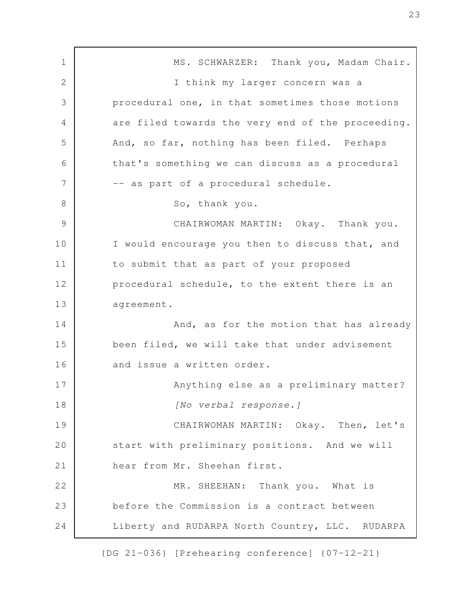MS. SCHWARZER: Thank you, Madam Chair. I think my larger concern was a procedural one, in that sometimes those motions are filed towards the very end of the proceeding. And, so far, nothing has been filed. Perhaps that's something we can discuss as a procedural -- as part of a procedural schedule. So, thank you. CHAIRWOMAN MARTIN: Okay. Thank you. I would encourage you then to discuss that, and to submit that as part of your proposed procedural schedule, to the extent there is an agreement. And, as for the motion that has already been filed, we will take that under advisement and issue a written order. Anything else as a preliminary matter? *[No verbal response.]* CHAIRWOMAN MARTIN: Okay. Then, let's start with preliminary positions. And we will hear from Mr. Sheehan first. MR. SHEEHAN: Thank you. What is before the Commission is a contract between Liberty and RUDARPA North Country, LLC. RUDARPA 1 2 3 4 5 6 7 8 9 10 11 12 13 14 15 16 17 18 19 20 21 22 23 24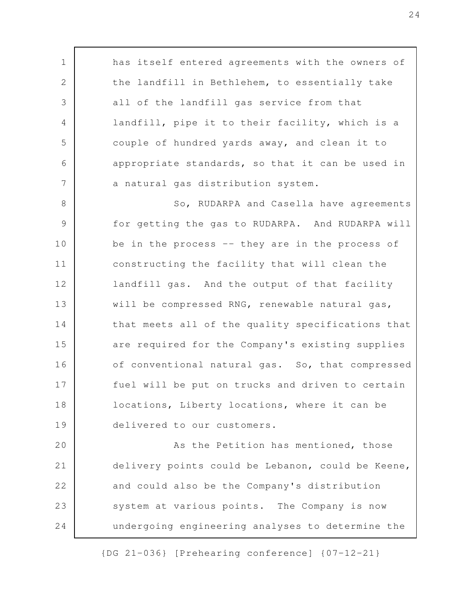has itself entered agreements with the owners of the landfill in Bethlehem, to essentially take all of the landfill gas service from that landfill, pipe it to their facility, which is a couple of hundred yards away, and clean it to appropriate standards, so that it can be used in a natural gas distribution system. So, RUDARPA and Casella have agreements for getting the gas to RUDARPA. And RUDARPA will be in the process -- they are in the process of constructing the facility that will clean the landfill gas. And the output of that facility will be compressed RNG, renewable natural gas, that meets all of the quality specifications that are required for the Company's existing supplies of conventional natural gas. So, that compressed fuel will be put on trucks and driven to certain locations, Liberty locations, where it can be delivered to our customers. As the Petition has mentioned, those delivery points could be Lebanon, could be Keene, and could also be the Company's distribution system at various points. The Company is now 1 2 3 4 5 6 7 8 9 10 11 12 13 14 15 16 17 18 19 20 21 22 23

undergoing engineering analyses to determine the

{DG 21-036} [Prehearing conference] {07-12-21}

24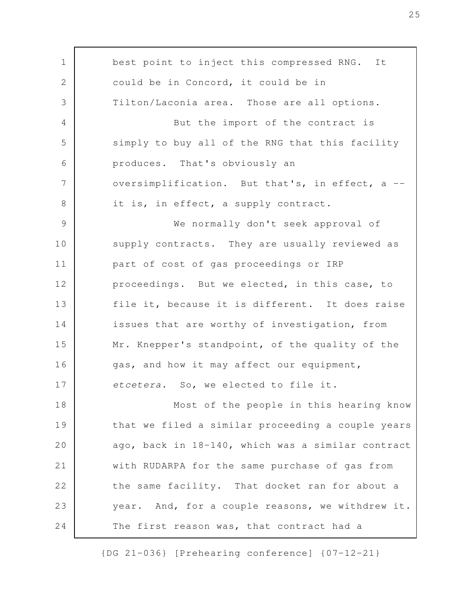best point to inject this compressed RNG. It could be in Concord, it could be in Tilton/Laconia area. Those are all options. But the import of the contract is simply to buy all of the RNG that this facility produces. That's obviously an oversimplification. But that's, in effect, a - it is, in effect, a supply contract. We normally don't seek approval of supply contracts. They are usually reviewed as part of cost of gas proceedings or IRP proceedings. But we elected, in this case, to file it, because it is different. It does raise issues that are worthy of investigation, from Mr. Knepper's standpoint, of the quality of the gas, and how it may affect our equipment, *etcetera*. So, we elected to file it. Most of the people in this hearing know that we filed a similar proceeding a couple years ago, back in 18-140, which was a similar contract with RUDARPA for the same purchase of gas from the same facility. That docket ran for about a year. And, for a couple reasons, we withdrew it. The first reason was, that contract had a 1 2 3 4 5 6 7 8 9 10 11 12 13 14 15 16 17 18 19 20 21 22 23 24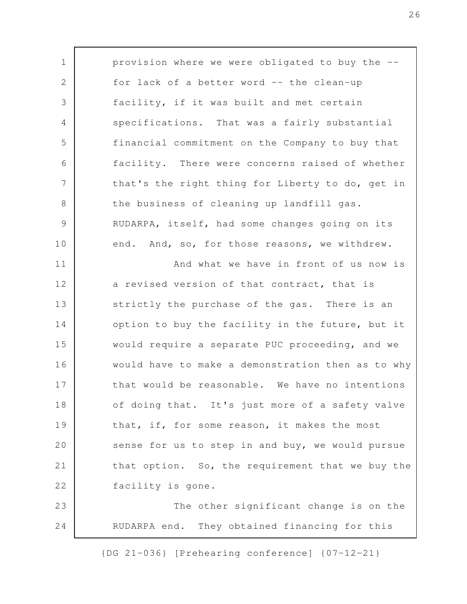provision where we were obligated to buy the - for lack of a better word -- the clean-up facility, if it was built and met certain specifications. That was a fairly substantial financial commitment on the Company to buy that facility. There were concerns raised of whether that's the right thing for Liberty to do, get in the business of cleaning up landfill gas. RUDARPA, itself, had some changes going on its end. And, so, for those reasons, we withdrew. And what we have in front of us now is a revised version of that contract, that is strictly the purchase of the gas. There is an option to buy the facility in the future, but it would require a separate PUC proceeding, and we would have to make a demonstration then as to why that would be reasonable. We have no intentions of doing that. It's just more of a safety valve that, if, for some reason, it makes the most sense for us to step in and buy, we would pursue that option. So, the requirement that we buy the facility is gone. The other significant change is on the RUDARPA end. They obtained financing for this 1 2 3 4 5 6 7 8 9 10 11 12 13 14 15 16 17 18 19 20 21 22 23 24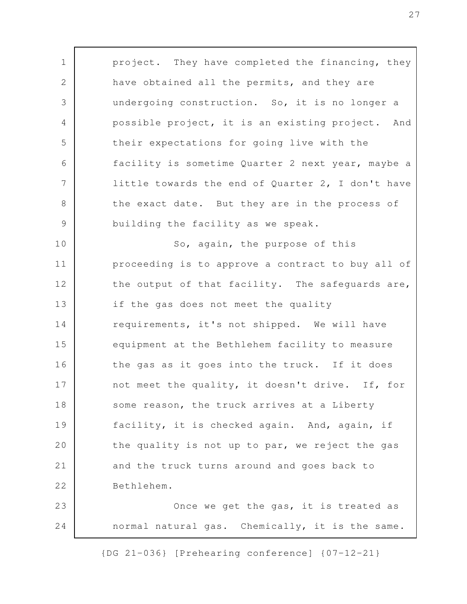project. They have completed the financing, they have obtained all the permits, and they are undergoing construction. So, it is no longer a possible project, it is an existing project. And their expectations for going live with the facility is sometime Quarter 2 next year, maybe a little towards the end of Quarter 2, I don't have the exact date. But they are in the process of building the facility as we speak. So, again, the purpose of this proceeding is to approve a contract to buy all of the output of that facility. The safeguards are, if the gas does not meet the quality requirements, it's not shipped. We will have equipment at the Bethlehem facility to measure the gas as it goes into the truck. If it does not meet the quality, it doesn't drive. If, for some reason, the truck arrives at a Liberty facility, it is checked again. And, again, if the quality is not up to par, we reject the gas and the truck turns around and goes back to Bethlehem. Once we get the gas, it is treated as normal natural gas. Chemically, it is the same. 1 2 3 4 5 6 7 8 9 10 11 12 13 14 15 16 17 18 19 20 21 22 23 24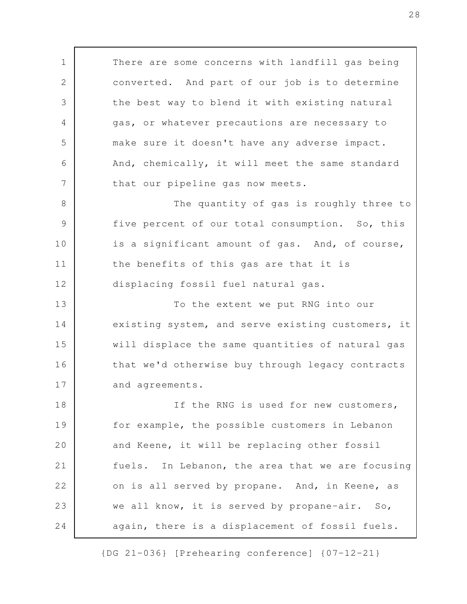There are some concerns with landfill gas being converted. And part of our job is to determine the best way to blend it with existing natural gas, or whatever precautions are necessary to make sure it doesn't have any adverse impact. And, chemically, it will meet the same standard that our pipeline gas now meets. The quantity of gas is roughly three to five percent of our total consumption. So, this is a significant amount of gas. And, of course, the benefits of this gas are that it is displacing fossil fuel natural gas. To the extent we put RNG into our existing system, and serve existing customers, it will displace the same quantities of natural gas that we'd otherwise buy through legacy contracts and agreements. If the RNG is used for new customers, for example, the possible customers in Lebanon and Keene, it will be replacing other fossil fuels. In Lebanon, the area that we are focusing on is all served by propane. And, in Keene, as we all know, it is served by propane-air. So, again, there is a displacement of fossil fuels. 1 2 3 4 5 6 7 8 9 10 11 12 13 14 15 16 17 18 19 20 21 22 23 24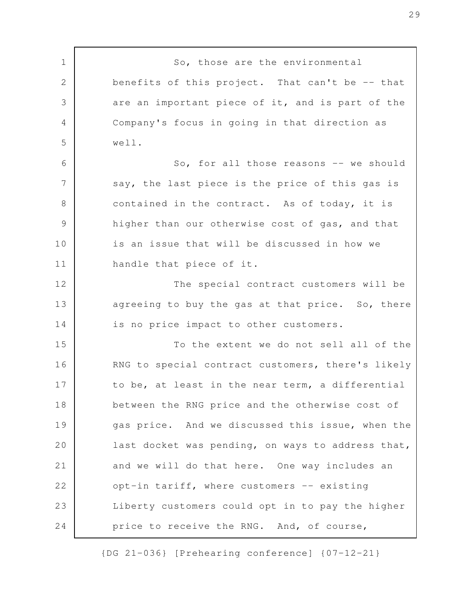So, those are the environmental benefits of this project. That can't be -- that are an important piece of it, and is part of the Company's focus in going in that direction as well. So, for all those reasons -- we should say, the last piece is the price of this gas is contained in the contract. As of today, it is higher than our otherwise cost of gas, and that is an issue that will be discussed in how we handle that piece of it. The special contract customers will be agreeing to buy the gas at that price. So, there is no price impact to other customers. To the extent we do not sell all of the RNG to special contract customers, there's likely to be, at least in the near term, a differential between the RNG price and the otherwise cost of gas price. And we discussed this issue, when the last docket was pending, on ways to address that, and we will do that here. One way includes an opt-in tariff, where customers -- existing Liberty customers could opt in to pay the higher price to receive the RNG. And, of course, 1 2 3 4 5 6 7 8 9 10 11 12 13 14 15 16 17 18 19 20 21 22 23 24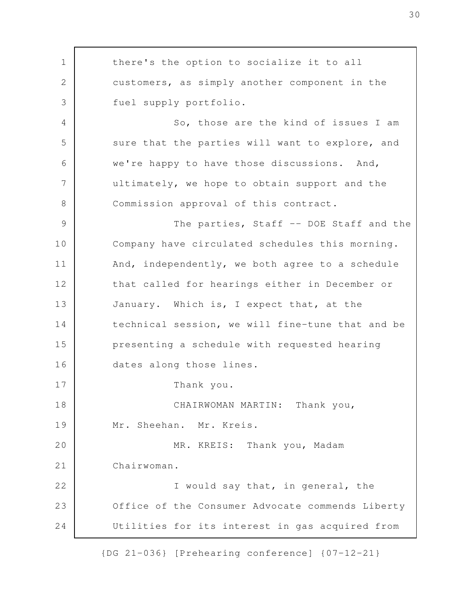there's the option to socialize it to all customers, as simply another component in the fuel supply portfolio. So, those are the kind of issues I am sure that the parties will want to explore, and we're happy to have those discussions. And, ultimately, we hope to obtain support and the Commission approval of this contract. The parties, Staff -- DOE Staff and the Company have circulated schedules this morning. And, independently, we both agree to a schedule that called for hearings either in December or January. Which is, I expect that, at the technical session, we will fine-tune that and be presenting a schedule with requested hearing dates along those lines. Thank you. CHAIRWOMAN MARTIN: Thank you, Mr. Sheehan. Mr. Kreis. MR. KREIS: Thank you, Madam Chairwoman. I would say that, in general, the Office of the Consumer Advocate commends Liberty Utilities for its interest in gas acquired from 1 2 3 4 5 6 7 8 9 10 11 12 13 14 15 16 17 18 19 20 21 22 23 24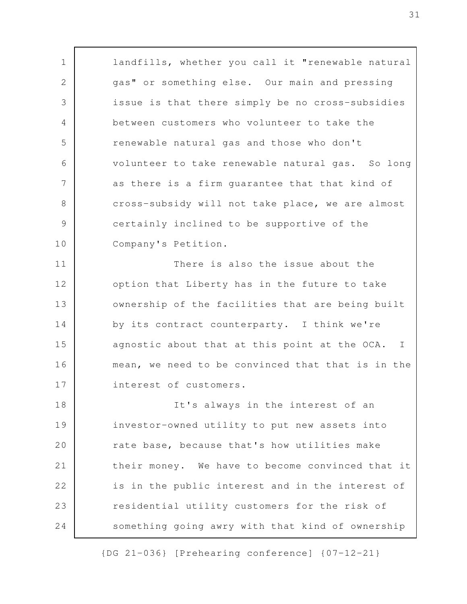landfills, whether you call it "renewable natural gas" or something else. Our main and pressing issue is that there simply be no cross-subsidies between customers who volunteer to take the renewable natural gas and those who don't volunteer to take renewable natural gas. So long as there is a firm guarantee that that kind of cross-subsidy will not take place, we are almost certainly inclined to be supportive of the Company's Petition. There is also the issue about the option that Liberty has in the future to take ownership of the facilities that are being built by its contract counterparty. I think we're agnostic about that at this point at the OCA. I mean, we need to be convinced that that is in the interest of customers. It's always in the interest of an investor-owned utility to put new assets into rate base, because that's how utilities make their money. We have to become convinced that it is in the public interest and in the interest of residential utility customers for the risk of something going awry with that kind of ownership 1 2 3 4 5 6 7 8 9 10 11 12 13 14 15 16 17 18 19 20 21 22 23 24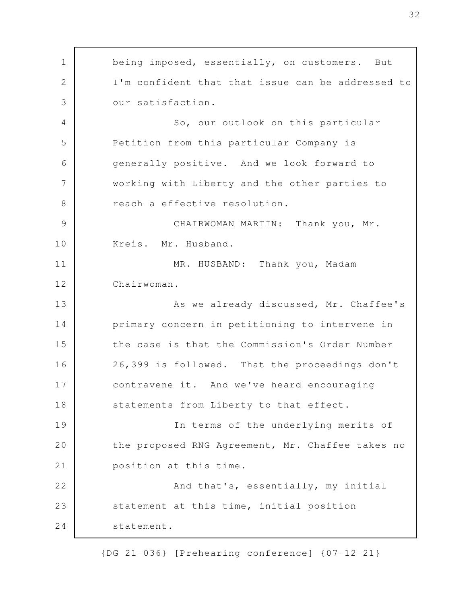being imposed, essentially, on customers. But I'm confident that that issue can be addressed to our satisfaction. So, our outlook on this particular Petition from this particular Company is generally positive. And we look forward to working with Liberty and the other parties to reach a effective resolution. CHAIRWOMAN MARTIN: Thank you, Mr. Kreis. Mr. Husband. MR. HUSBAND: Thank you, Madam Chairwoman. As we already discussed, Mr. Chaffee's primary concern in petitioning to intervene in the case is that the Commission's Order Number 26,399 is followed. That the proceedings don't contravene it. And we've heard encouraging statements from Liberty to that effect. In terms of the underlying merits of the proposed RNG Agreement, Mr. Chaffee takes no position at this time. And that's, essentially, my initial statement at this time, initial position statement. 1 2 3 4 5 6 7 8 9 10 11 12 13 14 15 16 17 18 19 20 21 22 23 24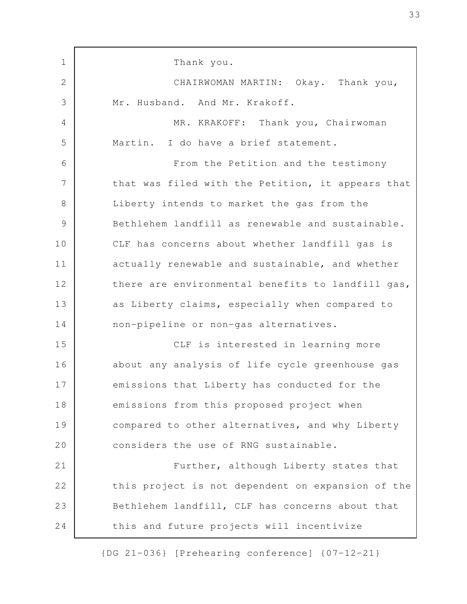Thank you. CHAIRWOMAN MARTIN: Okay. Thank you, Mr. Husband. And Mr. Krakoff. MR. KRAKOFF: Thank you, Chairwoman Martin. I do have a brief statement. From the Petition and the testimony that was filed with the Petition, it appears that Liberty intends to market the gas from the Bethlehem landfill as renewable and sustainable. CLF has concerns about whether landfill gas is actually renewable and sustainable, and whether there are environmental benefits to landfill gas, as Liberty claims, especially when compared to non-pipeline or non-gas alternatives. CLF is interested in learning more about any analysis of life cycle greenhouse gas emissions that Liberty has conducted for the emissions from this proposed project when compared to other alternatives, and why Liberty considers the use of RNG sustainable. Further, although Liberty states that this project is not dependent on expansion of the Bethlehem landfill, CLF has concerns about that this and future projects will incentivize 1 2 3 4 5 6 7 8 9 10 11 12 13 14 15 16 17 18 19 20 21 22 23 24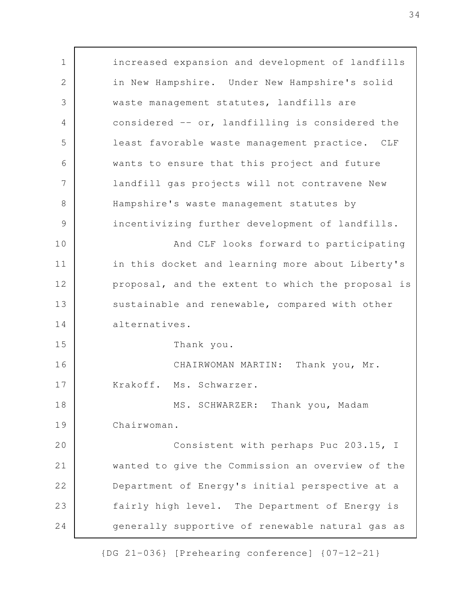increased expansion and development of landfills in New Hampshire. Under New Hampshire's solid waste management statutes, landfills are considered -- or, landfilling is considered the least favorable waste management practice. CLF wants to ensure that this project and future landfill gas projects will not contravene New Hampshire's waste management statutes by incentivizing further development of landfills. And CLF looks forward to participating in this docket and learning more about Liberty's proposal, and the extent to which the proposal is sustainable and renewable, compared with other alternatives. Thank you. CHAIRWOMAN MARTIN: Thank you, Mr. Krakoff. Ms. Schwarzer. MS. SCHWARZER: Thank you, Madam Chairwoman. Consistent with perhaps Puc 203.15, I wanted to give the Commission an overview of the Department of Energy's initial perspective at a fairly high level. The Department of Energy is generally supportive of renewable natural gas as 1 2 3 4 5 6 7 8 9 10 11 12 13 14 15 16 17 18 19 20 21 22 23 24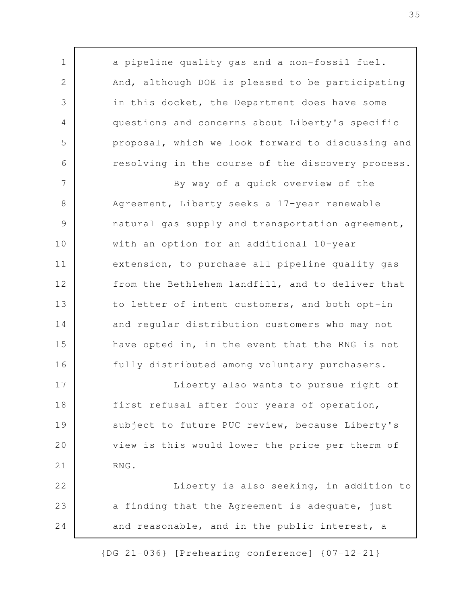a pipeline quality gas and a non-fossil fuel. And, although DOE is pleased to be participating in this docket, the Department does have some questions and concerns about Liberty's specific proposal, which we look forward to discussing and resolving in the course of the discovery process. By way of a quick overview of the Agreement, Liberty seeks a 17-year renewable natural gas supply and transportation agreement, with an option for an additional 10-year extension, to purchase all pipeline quality gas from the Bethlehem landfill, and to deliver that to letter of intent customers, and both opt-in and regular distribution customers who may not have opted in, in the event that the RNG is not fully distributed among voluntary purchasers. Liberty also wants to pursue right of first refusal after four years of operation, subject to future PUC review, because Liberty's view is this would lower the price per therm of RNG. Liberty is also seeking, in addition to a finding that the Agreement is adequate, just and reasonable, and in the public interest, a 1 2 3 4 5 6 7 8 9 10 11 12 13 14 15 16 17 18 19 20 21 22 23 24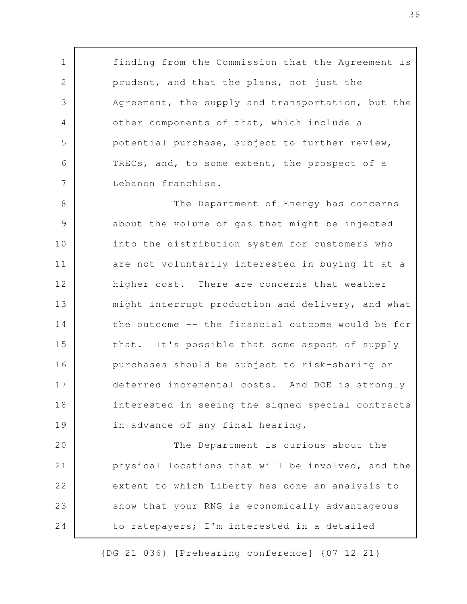finding from the Commission that the Agreement is prudent, and that the plans, not just the Agreement, the supply and transportation, but the other components of that, which include a potential purchase, subject to further review, TRECs, and, to some extent, the prospect of a Lebanon franchise.

1

2

3

4

5

6

7

The Department of Energy has concerns about the volume of gas that might be injected into the distribution system for customers who are not voluntarily interested in buying it at a higher cost. There are concerns that weather might interrupt production and delivery, and what the outcome -- the financial outcome would be for that. It's possible that some aspect of supply purchases should be subject to risk-sharing or deferred incremental costs. And DOE is strongly interested in seeing the signed special contracts in advance of any final hearing. 8 9 10 11 12 13 14 15 16 17 18 19

The Department is curious about the physical locations that will be involved, and the extent to which Liberty has done an analysis to show that your RNG is economically advantageous to ratepayers; I'm interested in a detailed 20 21 22 23 24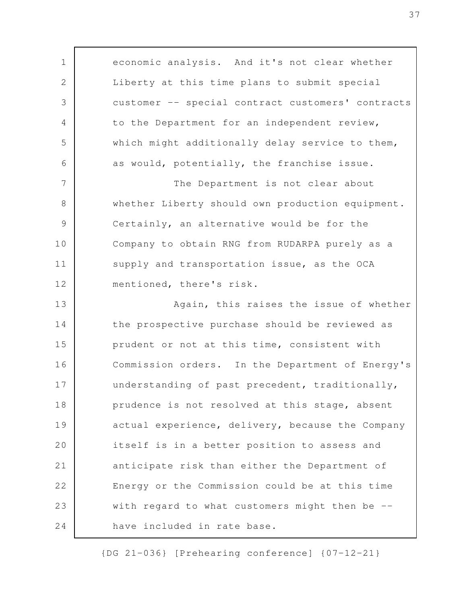economic analysis. And it's not clear whether Liberty at this time plans to submit special customer -- special contract customers' contracts to the Department for an independent review, which might additionally delay service to them, as would, potentially, the franchise issue. The Department is not clear about whether Liberty should own production equipment. Certainly, an alternative would be for the Company to obtain RNG from RUDARPA purely as a supply and transportation issue, as the OCA mentioned, there's risk. Again, this raises the issue of whether the prospective purchase should be reviewed as prudent or not at this time, consistent with Commission orders. In the Department of Energy's understanding of past precedent, traditionally, prudence is not resolved at this stage, absent actual experience, delivery, because the Company itself is in a better position to assess and anticipate risk than either the Department of Energy or the Commission could be at this time with regard to what customers might then be -have included in rate base. 1 2 3 4 5 6 7 8 9 10 11 12 13 14 15 16 17 18 19 20 21 22 23 24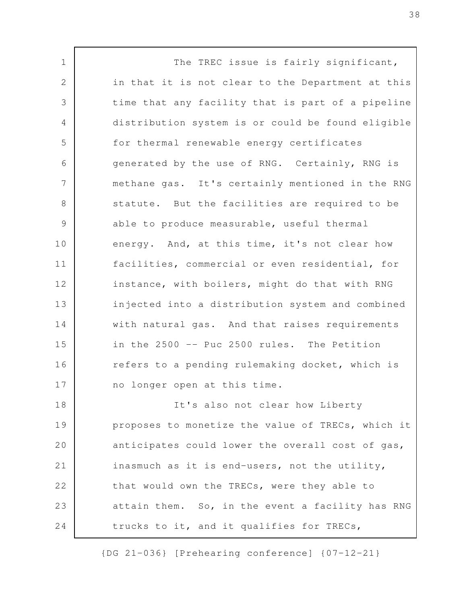The TREC issue is fairly significant, in that it is not clear to the Department at this time that any facility that is part of a pipeline distribution system is or could be found eligible for thermal renewable energy certificates generated by the use of RNG. Certainly, RNG is methane gas. It's certainly mentioned in the RNG statute. But the facilities are required to be able to produce measurable, useful thermal energy. And, at this time, it's not clear how facilities, commercial or even residential, for instance, with boilers, might do that with RNG injected into a distribution system and combined with natural gas. And that raises requirements in the 2500 -- Puc 2500 rules. The Petition refers to a pending rulemaking docket, which is no longer open at this time. It's also not clear how Liberty proposes to monetize the value of TRECs, which it anticipates could lower the overall cost of gas, inasmuch as it is end-users, not the utility, that would own the TRECs, were they able to attain them. So, in the event a facility has RNG trucks to it, and it qualifies for TRECs, 1 2 3 4 5 6 7 8 9 10 11 12 13 14 15 16 17 18 19 20 21 22 23 24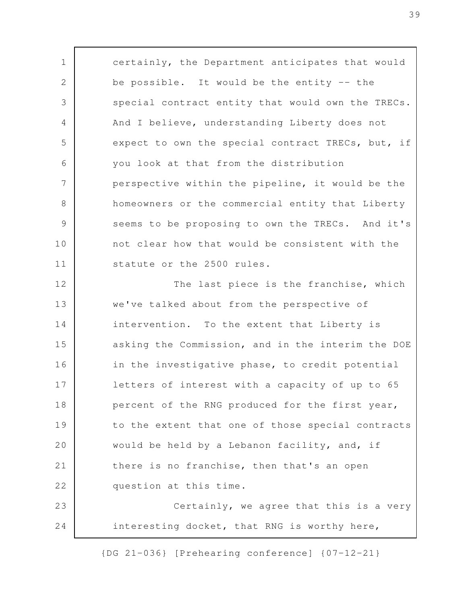certainly, the Department anticipates that would be possible. It would be the entity -- the special contract entity that would own the TRECs. And I believe, understanding Liberty does not expect to own the special contract TRECs, but, if you look at that from the distribution perspective within the pipeline, it would be the homeowners or the commercial entity that Liberty seems to be proposing to own the TRECs. And it's not clear how that would be consistent with the statute or the 2500 rules. The last piece is the franchise, which we've talked about from the perspective of intervention. To the extent that Liberty is asking the Commission, and in the interim the DOE in the investigative phase, to credit potential letters of interest with a capacity of up to 65 percent of the RNG produced for the first year, to the extent that one of those special contracts would be held by a Lebanon facility, and, if there is no franchise, then that's an open question at this time. Certainly, we agree that this is a very interesting docket, that RNG is worthy here, 1 2 3 4 5 6 7 8 9 10 11 12 13 14 15 16 17 18 19 20 21 22 23 24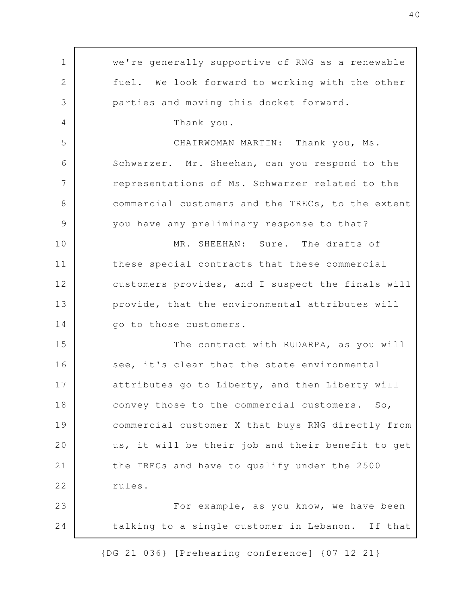we're generally supportive of RNG as a renewable fuel. We look forward to working with the other parties and moving this docket forward. Thank you. CHAIRWOMAN MARTIN: Thank you, Ms. Schwarzer. Mr. Sheehan, can you respond to the representations of Ms. Schwarzer related to the commercial customers and the TRECs, to the extent you have any preliminary response to that? MR. SHEEHAN: Sure. The drafts of these special contracts that these commercial customers provides, and I suspect the finals will provide, that the environmental attributes will go to those customers. The contract with RUDARPA, as you will see, it's clear that the state environmental attributes go to Liberty, and then Liberty will convey those to the commercial customers. So, commercial customer X that buys RNG directly from us, it will be their job and their benefit to get the TRECs and have to qualify under the 2500 rules. For example, as you know, we have been talking to a single customer in Lebanon. If that 1 2 3 4 5 6 7 8 9 10 11 12 13 14 15 16 17 18 19 20 21 22 23 24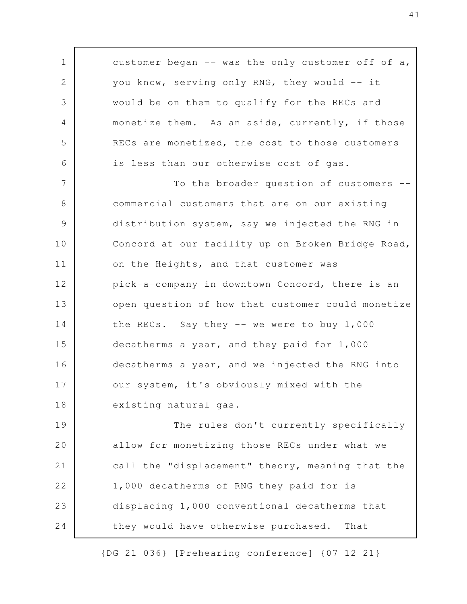customer began  $-$ - was the only customer off of a, you know, serving only RNG, they would -- it would be on them to qualify for the RECs and monetize them. As an aside, currently, if those RECs are monetized, the cost to those customers is less than our otherwise cost of gas. To the broader question of customers - commercial customers that are on our existing distribution system, say we injected the RNG in Concord at our facility up on Broken Bridge Road, on the Heights, and that customer was pick-a-company in downtown Concord, there is an open question of how that customer could monetize the RECs. Say they  $-$  we were to buy  $1,000$ decatherms a year, and they paid for 1,000 decatherms a year, and we injected the RNG into our system, it's obviously mixed with the existing natural gas. The rules don't currently specifically allow for monetizing those RECs under what we 1 2 3 4 5 6 7 8 9 10 11 12 13 14 15 16 17 18 19 20

call the "displacement" theory, meaning that the 1,000 decatherms of RNG they paid for is displacing 1,000 conventional decatherms that they would have otherwise purchased. That 21 22 23 24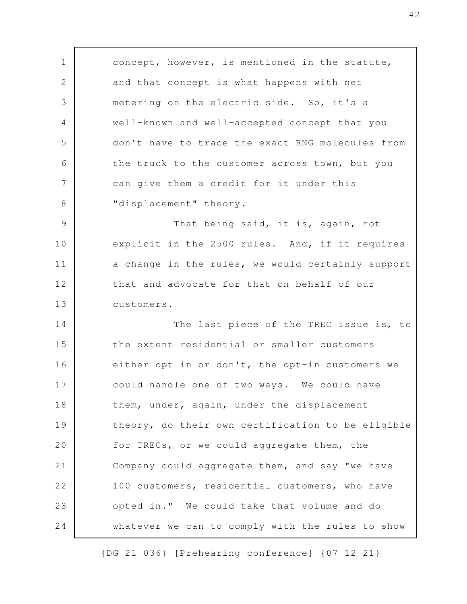concept, however, is mentioned in the statute, and that concept is what happens with net metering on the electric side. So, it's a well-known and well-accepted concept that you don't have to trace the exact RNG molecules from the truck to the customer across town, but you can give them a credit for it under this "displacement" theory. That being said, it is, again, not explicit in the 2500 rules. And, if it requires a change in the rules, we would certainly support that and advocate for that on behalf of our customers. The last piece of the TREC issue is, to the extent residential or smaller customers either opt in or don't, the opt-in customers we could handle one of two ways. We could have them, under, again, under the displacement theory, do their own certification to be eligible for TRECs, or we could aggregate them, the Company could aggregate them, and say "we have 100 customers, residential customers, who have opted in." We could take that volume and do whatever we can to comply with the rules to show 1 2 3 4 5 6 7 8 9 10 11 12 13 14 15 16 17 18 19 20 21 22 23 24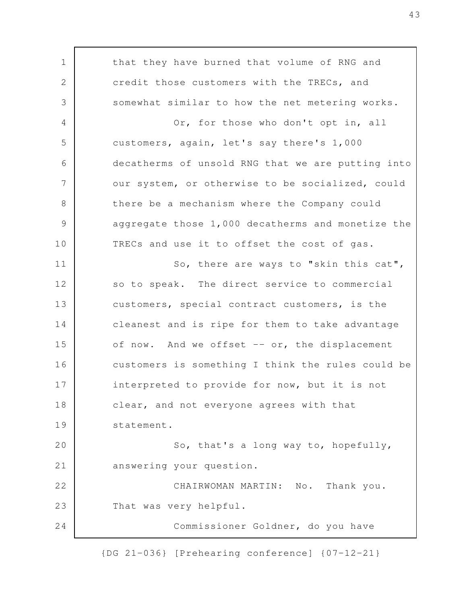that they have burned that volume of RNG and credit those customers with the TRECs, and somewhat similar to how the net metering works. Or, for those who don't opt in, all customers, again, let's say there's 1,000 decatherms of unsold RNG that we are putting into our system, or otherwise to be socialized, could there be a mechanism where the Company could aggregate those 1,000 decatherms and monetize the TRECs and use it to offset the cost of gas. So, there are ways to "skin this cat", so to speak. The direct service to commercial customers, special contract customers, is the cleanest and is ripe for them to take advantage of now. And we offset  $--$  or, the displacement customers is something I think the rules could be interpreted to provide for now, but it is not clear, and not everyone agrees with that statement. So, that's a long way to, hopefully, answering your question. CHAIRWOMAN MARTIN: No. Thank you. That was very helpful. Commissioner Goldner, do you have 1 2 3 4 5 6 7 8 9 10 11 12 13 14 15 16 17 18 19 20 21 22 23 24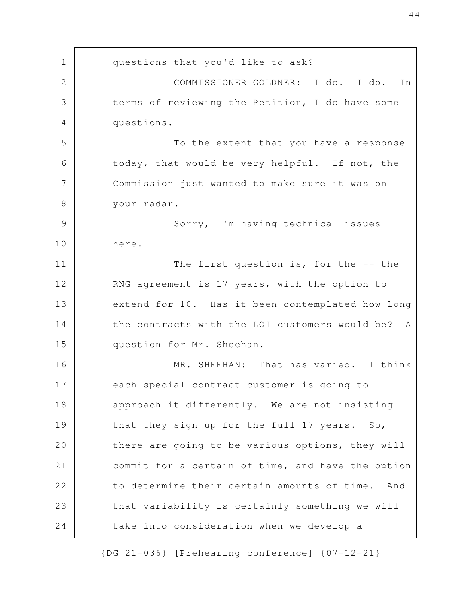questions that you'd like to ask? COMMISSIONER GOLDNER: I do. I do. In terms of reviewing the Petition, I do have some questions. To the extent that you have a response today, that would be very helpful. If not, the Commission just wanted to make sure it was on your radar. Sorry, I'm having technical issues here. The first question is, for the  $-$ - the RNG agreement is 17 years, with the option to extend for 10. Has it been contemplated how long the contracts with the LOI customers would be? A question for Mr. Sheehan. MR. SHEEHAN: That has varied. I think each special contract customer is going to approach it differently. We are not insisting that they sign up for the full 17 years. So, there are going to be various options, they will commit for a certain of time, and have the option to determine their certain amounts of time. And that variability is certainly something we will take into consideration when we develop a 1 2 3 4 5 6 7 8 9 10 11 12 13 14 15 16 17 18 19 20 21 22 23 24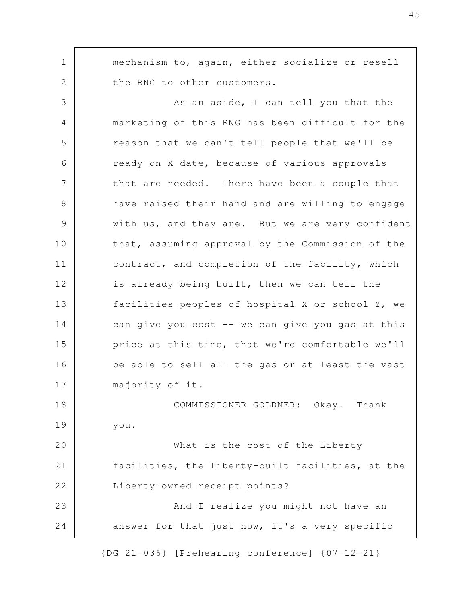mechanism to, again, either socialize or resell the RNG to other customers. As an aside, I can tell you that the marketing of this RNG has been difficult for the reason that we can't tell people that we'll be ready on X date, because of various approvals that are needed. There have been a couple that have raised their hand and are willing to engage with us, and they are. But we are very confident that, assuming approval by the Commission of the contract, and completion of the facility, which is already being built, then we can tell the facilities peoples of hospital X or school Y, we can give you cost -- we can give you gas at this price at this time, that we're comfortable we'll be able to sell all the gas or at least the vast majority of it. COMMISSIONER GOLDNER: Okay. Thank you. What is the cost of the Liberty facilities, the Liberty-built facilities, at the Liberty-owned receipt points? And I realize you might not have an answer for that just now, it's a very specific 1 2 3 4 5 6 7 8 9 10 11 12 13 14 15 16 17 18 19 20 21 22 23 24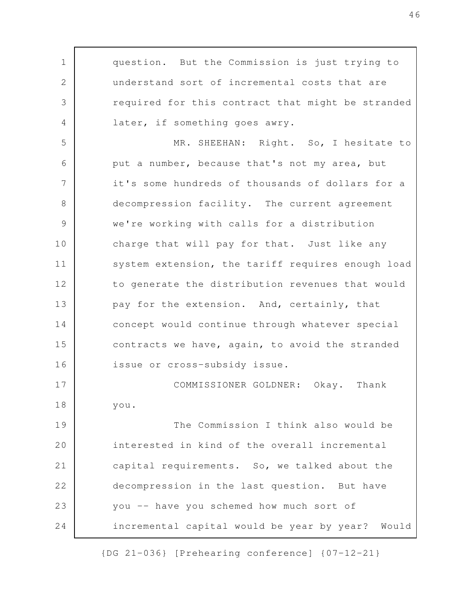question. But the Commission is just trying to understand sort of incremental costs that are required for this contract that might be stranded later, if something goes awry. MR. SHEEHAN: Right. So, I hesitate to put a number, because that's not my area, but it's some hundreds of thousands of dollars for a decompression facility. The current agreement we're working with calls for a distribution charge that will pay for that. Just like any system extension, the tariff requires enough load to generate the distribution revenues that would pay for the extension. And, certainly, that concept would continue through whatever special contracts we have, again, to avoid the stranded issue or cross-subsidy issue. COMMISSIONER GOLDNER: Okay. Thank you. The Commission I think also would be interested in kind of the overall incremental capital requirements. So, we talked about the decompression in the last question. But have you -- have you schemed how much sort of incremental capital would be year by year? Would 1 2 3 4 5 6 7 8 9 10 11 12 13 14 15 16 17 18 19 20 21 22 23 24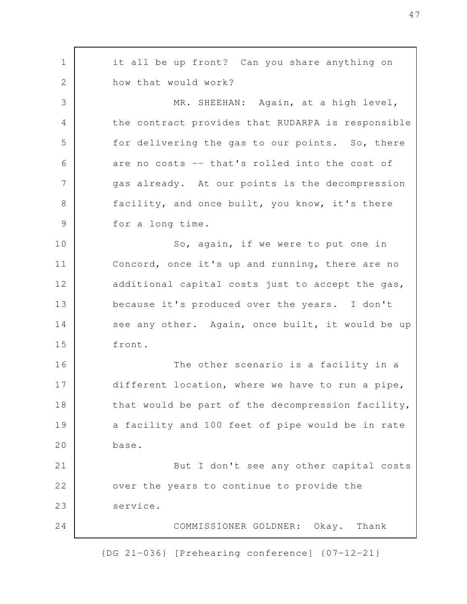it all be up front? Can you share anything on how that would work? MR. SHEEHAN: Again, at a high level, the contract provides that RUDARPA is responsible for delivering the gas to our points. So, there are no costs -- that's rolled into the cost of gas already. At our points is the decompression facility, and once built, you know, it's there for a long time. So, again, if we were to put one in Concord, once it's up and running, there are no additional capital costs just to accept the gas, because it's produced over the years. I don't see any other. Again, once built, it would be up front. The other scenario is a facility in a different location, where we have to run a pipe, that would be part of the decompression facility, a facility and 100 feet of pipe would be in rate base. But I don't see any other capital costs over the years to continue to provide the service. COMMISSIONER GOLDNER: Okay. Thank 1 2 3 4 5 6 7 8 9 10 11 12 13 14 15 16 17 18 19 20 21 22 23 24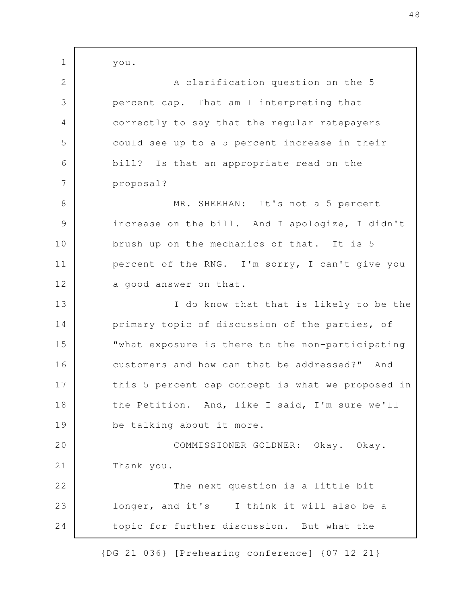you. A clarification question on the 5 percent cap. That am I interpreting that correctly to say that the regular ratepayers could see up to a 5 percent increase in their bill? Is that an appropriate read on the proposal? MR. SHEEHAN: It's not a 5 percent increase on the bill. And I apologize, I didn't brush up on the mechanics of that. It is 5 percent of the RNG. I'm sorry, I can't give you a good answer on that. I do know that that is likely to be the primary topic of discussion of the parties, of "what exposure is there to the non-participating customers and how can that be addressed?" And this 5 percent cap concept is what we proposed in the Petition. And, like I said, I'm sure we'll be talking about it more. COMMISSIONER GOLDNER: Okay. Okay. Thank you. The next question is a little bit longer, and it's -- I think it will also be a topic for further discussion. But what the 1 2 3 4 5 6 7 8 9 10 11 12 13 14 15 16 17 18 19 20 21 22 23 24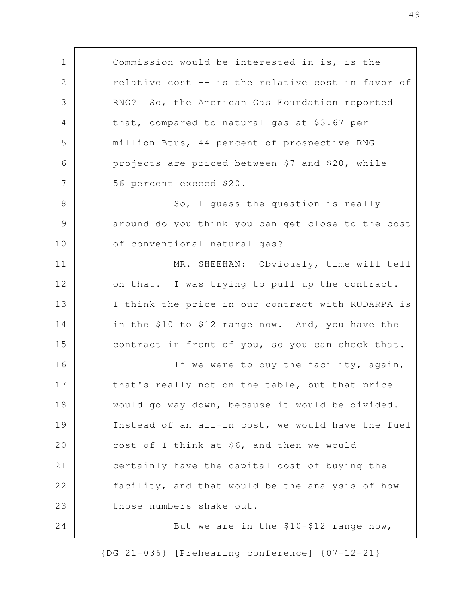Commission would be interested in is, is the relative cost -- is the relative cost in favor of RNG? So, the American Gas Foundation reported that, compared to natural gas at \$3.67 per million Btus, 44 percent of prospective RNG projects are priced between \$7 and \$20, while 56 percent exceed \$20. So, I guess the question is really around do you think you can get close to the cost of conventional natural gas? MR. SHEEHAN: Obviously, time will tell on that. I was trying to pull up the contract. I think the price in our contract with RUDARPA is in the \$10 to \$12 range now. And, you have the contract in front of you, so you can check that. If we were to buy the facility, again, that's really not on the table, but that price would go way down, because it would be divided. Instead of an all-in cost, we would have the fuel cost of I think at \$6, and then we would certainly have the capital cost of buying the facility, and that would be the analysis of how those numbers shake out. But we are in the \$10-\$12 range now, 1 2 3 4 5 6 7 8 9 10 11 12 13 14 15 16 17 18 19 20 21 22 23 24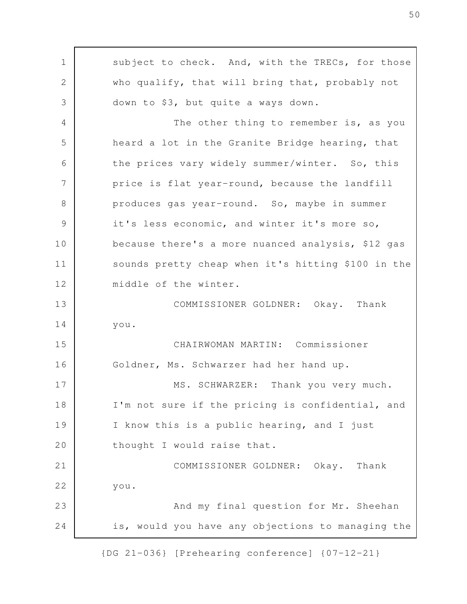subject to check. And, with the TRECs, for those who qualify, that will bring that, probably not down to \$3, but quite a ways down. The other thing to remember is, as you heard a lot in the Granite Bridge hearing, that the prices vary widely summer/winter. So, this price is flat year-round, because the landfill produces gas year-round. So, maybe in summer it's less economic, and winter it's more so, because there's a more nuanced analysis, \$12 gas sounds pretty cheap when it's hitting \$100 in the middle of the winter. COMMISSIONER GOLDNER: Okay. Thank you. CHAIRWOMAN MARTIN: Commissioner Goldner, Ms. Schwarzer had her hand up. MS. SCHWARZER: Thank you very much. I'm not sure if the pricing is confidential, and I know this is a public hearing, and I just thought I would raise that. COMMISSIONER GOLDNER: Okay. Thank you. And my final question for Mr. Sheehan is, would you have any objections to managing the 1 2 3 4 5 6 7 8 9 10 11 12 13 14 15 16 17 18 19 20 21 22 23 24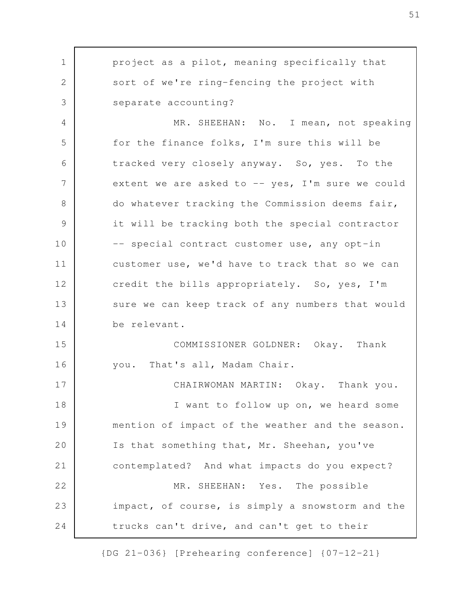project as a pilot, meaning specifically that sort of we're ring-fencing the project with separate accounting? MR. SHEEHAN: No. I mean, not speaking for the finance folks, I'm sure this will be tracked very closely anyway. So, yes. To the extent we are asked to  $--$  yes, I'm sure we could do whatever tracking the Commission deems fair, it will be tracking both the special contractor -- special contract customer use, any opt-in customer use, we'd have to track that so we can credit the bills appropriately. So, yes, I'm sure we can keep track of any numbers that would be relevant. COMMISSIONER GOLDNER: Okay. Thank you. That's all, Madam Chair. CHAIRWOMAN MARTIN: Okay. Thank you. I want to follow up on, we heard some mention of impact of the weather and the season. Is that something that, Mr. Sheehan, you've contemplated? And what impacts do you expect? MR. SHEEHAN: Yes. The possible impact, of course, is simply a snowstorm and the trucks can't drive, and can't get to their 1 2 3 4 5 6 7 8 9 10 11 12 13 14 15 16 17 18 19 20 21 22 23 24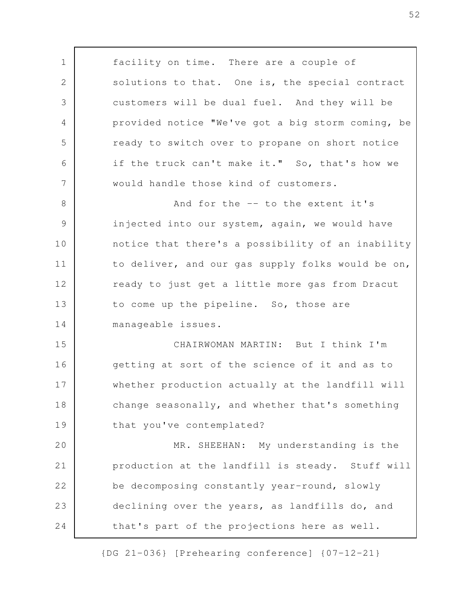facility on time. There are a couple of solutions to that. One is, the special contract customers will be dual fuel. And they will be provided notice "We've got a big storm coming, be ready to switch over to propane on short notice if the truck can't make it." So, that's how we would handle those kind of customers. And for the -- to the extent it's injected into our system, again, we would have notice that there's a possibility of an inability to deliver, and our gas supply folks would be on, ready to just get a little more gas from Dracut to come up the pipeline. So, those are manageable issues. CHAIRWOMAN MARTIN: But I think I'm getting at sort of the science of it and as to whether production actually at the landfill will change seasonally, and whether that's something that you've contemplated? MR. SHEEHAN: My understanding is the production at the landfill is steady. Stuff will be decomposing constantly year-round, slowly declining over the years, as landfills do, and that's part of the projections here as well. 1 2 3 4 5 6 7 8 9 10 11 12 13 14 15 16 17 18 19 20 21 22 23 24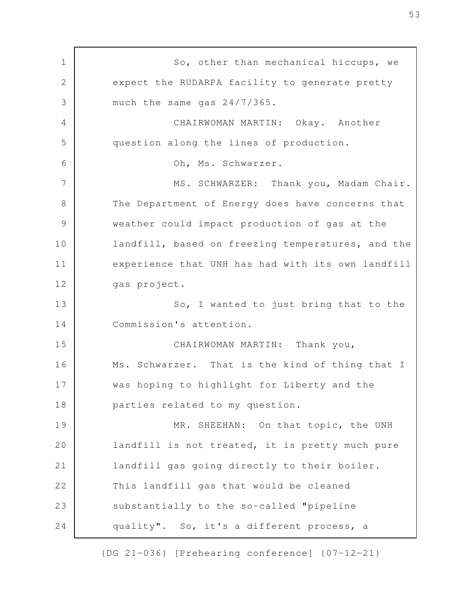So, other than mechanical hiccups, we expect the RUDARPA facility to generate pretty much the same gas 24/7/365. CHAIRWOMAN MARTIN: Okay. Another question along the lines of production. Oh, Ms. Schwarzer. MS. SCHWARZER: Thank you, Madam Chair. The Department of Energy does have concerns that weather could impact production of gas at the landfill, based on freezing temperatures, and the experience that UNH has had with its own landfill gas project. So, I wanted to just bring that to the Commission's attention. CHAIRWOMAN MARTIN: Thank you, Ms. Schwarzer. That is the kind of thing that I was hoping to highlight for Liberty and the parties related to my question. MR. SHEEHAN: On that topic, the UNH landfill is not treated, it is pretty much pure landfill gas going directly to their boiler. This landfill gas that would be cleaned substantially to the so-called "pipeline quality". So, it's a different process, a 1 2 3 4 5 6 7 8 9 10 11 12 13 14 15 16 17 18 19 20 21 22 23 24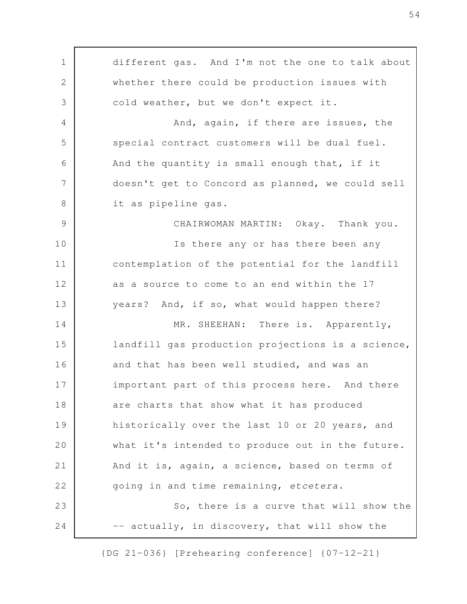different gas. And I'm not the one to talk about whether there could be production issues with cold weather, but we don't expect it. And, again, if there are issues, the special contract customers will be dual fuel. And the quantity is small enough that, if it doesn't get to Concord as planned, we could sell it as pipeline gas. CHAIRWOMAN MARTIN: Okay. Thank you. Is there any or has there been any contemplation of the potential for the landfill as a source to come to an end within the 17 years? And, if so, what would happen there? MR. SHEEHAN: There is. Apparently, landfill gas production projections is a science, and that has been well studied, and was an important part of this process here. And there are charts that show what it has produced historically over the last 10 or 20 years, and what it's intended to produce out in the future. And it is, again, a science, based on terms of going in and time remaining, *etcetera*. So, there is a curve that will show the -- actually, in discovery, that will show the 1 2 3 4 5 6 7 8 9 10 11 12 13 14 15 16 17 18 19 20 21 22 23 24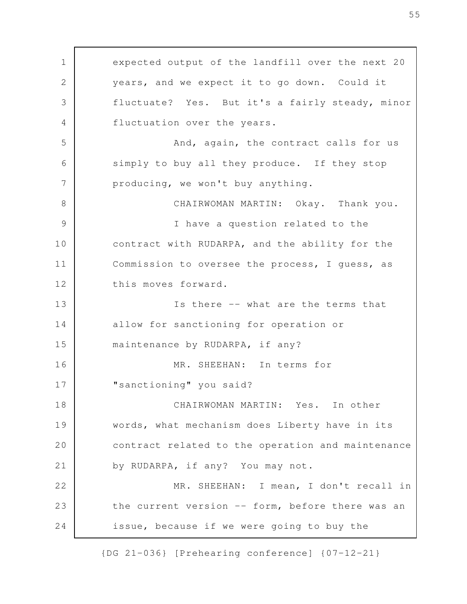expected output of the landfill over the next 20 years, and we expect it to go down. Could it fluctuate? Yes. But it's a fairly steady, minor fluctuation over the years. And, again, the contract calls for us simply to buy all they produce. If they stop producing, we won't buy anything. CHAIRWOMAN MARTIN: Okay. Thank you. I have a question related to the contract with RUDARPA, and the ability for the Commission to oversee the process, I guess, as this moves forward. Is there -- what are the terms that allow for sanctioning for operation or maintenance by RUDARPA, if any? MR. SHEEHAN: In terms for "sanctioning" you said? CHAIRWOMAN MARTIN: Yes. In other words, what mechanism does Liberty have in its contract related to the operation and maintenance by RUDARPA, if any? You may not. MR. SHEEHAN: I mean, I don't recall in the current version -- form, before there was an issue, because if we were going to buy the 1 2 3 4 5 6 7 8 9 10 11 12 13 14 15 16 17 18 19 20 21 22 23 24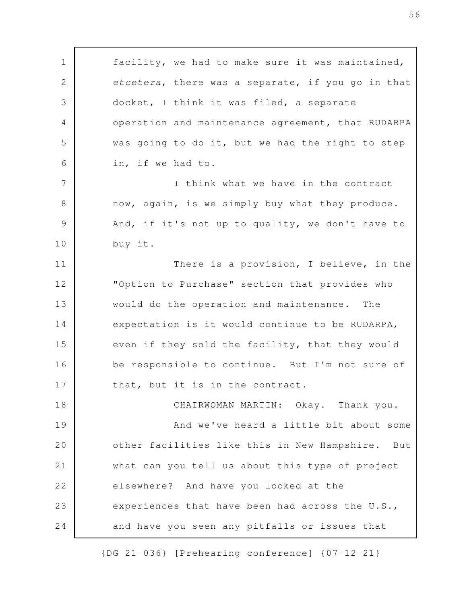facility, we had to make sure it was maintained*, etcetera*, there was a separate, if you go in that docket, I think it was filed, a separate operation and maintenance agreement, that RUDARPA was going to do it, but we had the right to step in, if we had to. I think what we have in the contract now, again, is we simply buy what they produce. And, if it's not up to quality, we don't have to buy it. There is a provision, I believe, in the "Option to Purchase" section that provides who would do the operation and maintenance. The expectation is it would continue to be RUDARPA, even if they sold the facility, that they would be responsible to continue. But I'm not sure of that, but it is in the contract. CHAIRWOMAN MARTIN: Okay. Thank you. And we've heard a little bit about some other facilities like this in New Hampshire. But what can you tell us about this type of project elsewhere? And have you looked at the experiences that have been had across the U.S., and have you seen any pitfalls or issues that 1 2 3 4 5 6 7 8 9 10 11 12 13 14 15 16 17 18 19 20 21 22 23 24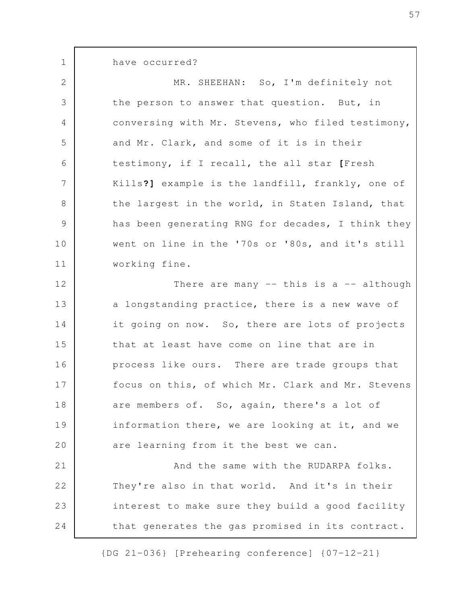have occurred?

1

MR. SHEEHAN: So, I'm definitely not the person to answer that question. But, in conversing with Mr. Stevens, who filed testimony, and Mr. Clark, and some of it is in their testimony, if I recall, the all star **[**Fresh Kills**?]** example is the landfill, frankly, one of the largest in the world, in Staten Island, that has been generating RNG for decades, I think they went on line in the '70s or '80s, and it's still working fine. There are many  $--$  this is a  $--$  although a longstanding practice, there is a new wave of it going on now. So, there are lots of projects 2 3 4 5 6 7 8 9 10 11 12 13 14

that at least have come on line that are in process like ours. There are trade groups that focus on this, of which Mr. Clark and Mr. Stevens are members of. So, again, there's a lot of information there, we are looking at it, and we are learning from it the best we can. 15 16 17 18 19 20

And the same with the RUDARPA folks. They're also in that world. And it's in their interest to make sure they build a good facility that generates the gas promised in its contract. 21 22 23 24